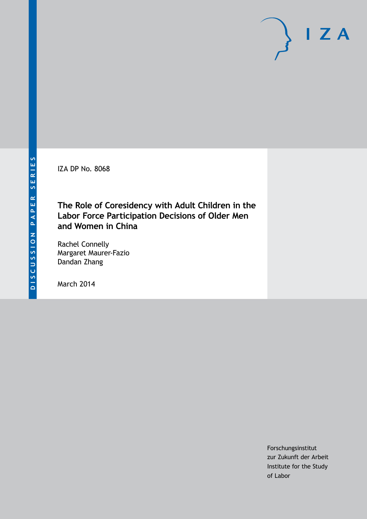IZA DP No. 8068

### **The Role of Coresidency with Adult Children in the Labor Force Participation Decisions of Older Men and Women in China**

Rachel Connelly Margaret Maurer-Fazio Dandan Zhang

March 2014

Forschungsinstitut zur Zukunft der Arbeit Institute for the Study of Labor

 $I Z A$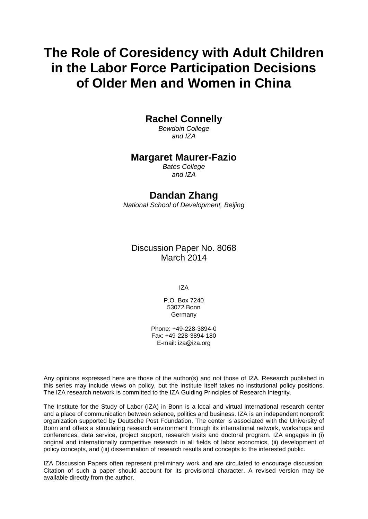# **The Role of Coresidency with Adult Children in the Labor Force Participation Decisions of Older Men and Women in China**

### **Rachel Connelly**

*Bowdoin College and IZA*

### **Margaret Maurer-Fazio**

*Bates College and IZA*

### **Dandan Zhang**

*National School of Development, Beijing*

Discussion Paper No. 8068 March 2014

IZA

P.O. Box 7240 53072 Bonn Germany

Phone: +49-228-3894-0 Fax: +49-228-3894-180 E-mail: [iza@iza.org](mailto:iza@iza.org)

Any opinions expressed here are those of the author(s) and not those of IZA. Research published in this series may include views on policy, but the institute itself takes no institutional policy positions. The IZA research network is committed to the IZA Guiding Principles of Research Integrity.

The Institute for the Study of Labor (IZA) in Bonn is a local and virtual international research center and a place of communication between science, politics and business. IZA is an independent nonprofit organization supported by Deutsche Post Foundation. The center is associated with the University of Bonn and offers a stimulating research environment through its international network, workshops and conferences, data service, project support, research visits and doctoral program. IZA engages in (i) original and internationally competitive research in all fields of labor economics, (ii) development of policy concepts, and (iii) dissemination of research results and concepts to the interested public.

IZA Discussion Papers often represent preliminary work and are circulated to encourage discussion. Citation of such a paper should account for its provisional character. A revised version may be available directly from the author.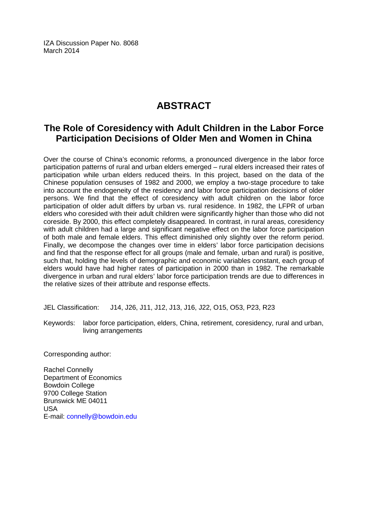IZA Discussion Paper No. 8068 March 2014

## **ABSTRACT**

### **The Role of Coresidency with Adult Children in the Labor Force Participation Decisions of Older Men and Women in China**

Over the course of China's economic reforms, a pronounced divergence in the labor force participation patterns of rural and urban elders emerged – rural elders increased their rates of participation while urban elders reduced theirs. In this project, based on the data of the Chinese population censuses of 1982 and 2000, we employ a two-stage procedure to take into account the endogeneity of the residency and labor force participation decisions of older persons. We find that the effect of coresidency with adult children on the labor force participation of older adult differs by urban vs. rural residence. In 1982, the LFPR of urban elders who coresided with their adult children were significantly higher than those who did not coreside. By 2000, this effect completely disappeared. In contrast, in rural areas, coresidency with adult children had a large and significant negative effect on the labor force participation of both male and female elders. This effect diminished only slightly over the reform period. Finally, we decompose the changes over time in elders' labor force participation decisions and find that the response effect for all groups (male and female, urban and rural) is positive, such that, holding the levels of demographic and economic variables constant, each group of elders would have had higher rates of participation in 2000 than in 1982. The remarkable divergence in urban and rural elders' labor force participation trends are due to differences in the relative sizes of their attribute and response effects.

JEL Classification: J14, J26, J11, J12, J13, J16, J22, O15, O53, P23, R23

Keywords: labor force participation, elders, China, retirement, coresidency, rural and urban, living arrangements

Corresponding author:

Rachel Connelly Department of Economics Bowdoin College 9700 College Station Brunswick ME 04011 USA E-mail: [connelly@bowdoin.edu](mailto:connelly@bowdoin.edu)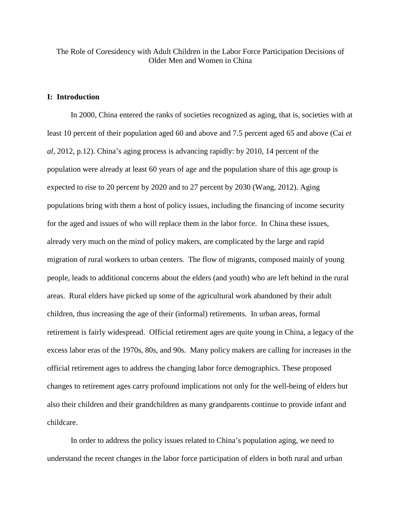The Role of Coresidency with Adult Children in the Labor Force Participation Decisions of Older Men and Women in China

#### **I: Introduction**

In 2000, China entered the ranks of societies recognized as aging, that is, societies with at least 10 percent of their population aged 60 and above and 7.5 percent aged 65 and above (Cai *et al,* 2012, p.12). China's aging process is advancing rapidly: by 2010, 14 percent of the population were already at least 60 years of age and the population share of this age group is expected to rise to 20 percent by 2020 and to 27 percent by 2030 (Wang, 2012). Aging populations bring with them a host of policy issues, including the financing of income security for the aged and issues of who will replace them in the labor force. In China these issues, already very much on the mind of policy makers, are complicated by the large and rapid migration of rural workers to urban centers. The flow of migrants, composed mainly of young people, leads to additional concerns about the elders (and youth) who are left behind in the rural areas. Rural elders have picked up some of the agricultural work abandoned by their adult children, thus increasing the age of their (informal) retirements. In urban areas, formal retirement is fairly widespread. Official retirement ages are quite young in China, a legacy of the excess labor eras of the 1970s, 80s, and 90s. Many policy makers are calling for increases in the official retirement ages to address the changing labor force demographics. These proposed changes to retirement ages carry profound implications not only for the well-being of elders but also their children and their grandchildren as many grandparents continue to provide infant and childcare.

In order to address the policy issues related to China's population aging, we need to understand the recent changes in the labor force participation of elders in both rural and urban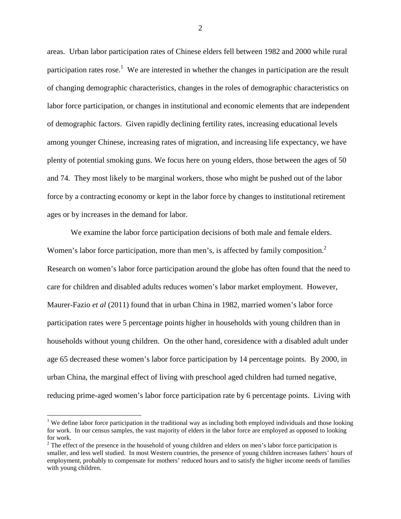areas. Urban labor participation rates of Chinese elders fell between 1982 and 2000 while rural participation rates rose.<sup>1</sup> We are interested in whether the changes in participation are the result of changing demographic characteristics, changes in the roles of demographic characteristics on labor force participation, or changes in institutional and economic elements that are independent of demographic factors. Given rapidly declining fertility rates, increasing educational levels among younger Chinese, increasing rates of migration, and increasing life expectancy, we have plenty of potential smoking guns. We focus here on young elders, those between the ages of 50 and 74. They most likely to be marginal workers, those who might be pushed out of the labor force by a contracting economy or kept in the labor force by changes to institutional retirement ages or by increases in the demand for labor.

We examine the labor force participation decisions of both male and female elders. Women's labor force participation, more than men's, is affected by family composition.<sup>2</sup> Research on women's labor force participation around the globe has often found that the need to care for children and disabled adults reduces women's labor market employment. However, Maurer-Fazio *et al* (2011) found that in urban China in 1982, married women's labor force participation rates were 5 percentage points higher in households with young children than in households without young children. On the other hand, coresidence with a disabled adult under age 65 decreased these women's labor force participation by 14 percentage points. By 2000, in urban China, the marginal effect of living with preschool aged children had turned negative, reducing prime-aged women's labor force participation rate by 6 percentage points. Living with

<u>.</u>

<sup>&</sup>lt;sup>1</sup> We define labor force participation in the traditional way as including both employed individuals and those looking for work. In our census samples, the vast majority of elders in the labor force are employed as opposed to looking for work.

 $2<sup>2</sup>$  The effect of the presence in the household of young children and elders on men's labor force participation is smaller, and less well studied. In most Western countries, the presence of young children increases fathers' hours of employment, probably to compensate for mothers' reduced hours and to satisfy the higher income needs of families with young children.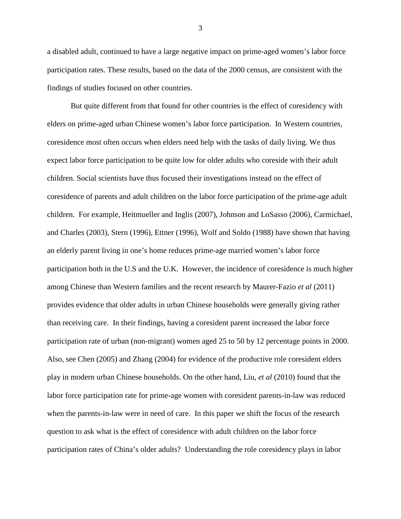a disabled adult, continued to have a large negative impact on prime-aged women's labor force participation rates. These results, based on the data of the 2000 census, are consistent with the findings of studies focused on other countries.

But quite different from that found for other countries is the effect of coresidency with elders on prime-aged urban Chinese women's labor force participation. In Western countries, coresidence most often occurs when elders need help with the tasks of daily living. We thus expect labor force participation to be quite low for older adults who coreside with their adult children. Social scientists have thus focused their investigations instead on the effect of coresidence of parents and adult children on the labor force participation of the prime-age adult children. For example, Heitmueller and Inglis (2007), Johnson and LoSasso (2006), Carmichael, and Charles (2003), Stern (1996), Ettner (1996), Wolf and Soldo (1988) have shown that having an elderly parent living in one's home reduces prime-age married women's labor force participation both in the U.S and the U.K. However, the incidence of coresidence is much higher among Chinese than Western families and the recent research by Maurer-Fazio *et al* (2011) provides evidence that older adults in urban Chinese households were generally giving rather than receiving care. In their findings, having a coresident parent increased the labor force participation rate of urban (non-migrant) women aged 25 to 50 by 12 percentage points in 2000. Also, see Chen (2005) and Zhang (2004) for evidence of the productive role coresident elders play in modern urban Chinese households. On the other hand, Liu, *et al* (2010) found that the labor force participation rate for prime-age women with coresident parents-in-law was reduced when the parents-in-law were in need of care. In this paper we shift the focus of the research question to ask what is the effect of coresidence with adult children on the labor force participation rates of China's older adults? Understanding the role coresidency plays in labor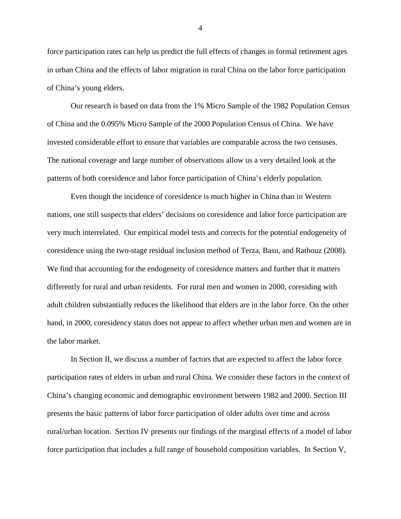force participation rates can help us predict the full effects of changes in formal retirement ages in urban China and the effects of labor migration in rural China on the labor force participation of China's young elders.

 Our research is based on data from the 1% Micro Sample of the 1982 Population Census of China and the 0.095% Micro Sample of the 2000 Population Census of China. We have invested considerable effort to ensure that variables are comparable across the two censuses. The national coverage and large number of observations allow us a very detailed look at the patterns of both coresidence and labor force participation of China's elderly population.

Even though the incidence of coresidence is much higher in China than in Western nations, one still suspects that elders' decisions on coresidence and labor force participation are very much interrelated. Our empirical model tests and corrects for the potential endogeneity of coresidence using the two-stage residual inclusion method of Terza, Basu, and Rathouz (2008). We find that accounting for the endogeneity of coresidence matters and further that it matters differently for rural and urban residents. For rural men and women in 2000, coresiding with adult children substantially reduces the likelihood that elders are in the labor force. On the other hand, in 2000, coresidency status does not appear to affect whether urban men and women are in the labor market.

 In Section II, we discuss a number of factors that are expected to affect the labor force participation rates of elders in urban and rural China. We consider these factors in the context of China's changing economic and demographic environment between 1982 and 2000. Section III presents the basic patterns of labor force participation of older adults over time and across rural/urban location. Section IV presents our findings of the marginal effects of a model of labor force participation that includes a full range of household composition variables. In Section V,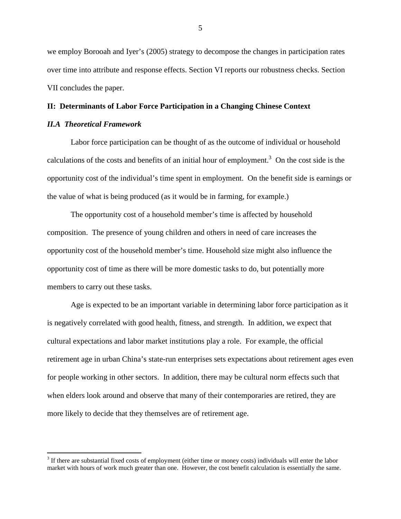we employ Borooah and Iyer's (2005) strategy to decompose the changes in participation rates over time into attribute and response effects. Section VI reports our robustness checks. Section VII concludes the paper.

#### **II: Determinants of Labor Force Participation in a Changing Chinese Context**

#### *II.A Theoretical Framework*

<u>.</u>

Labor force participation can be thought of as the outcome of individual or household calculations of the costs and benefits of an initial hour of employment.<sup>3</sup> On the cost side is the opportunity cost of the individual's time spent in employment. On the benefit side is earnings or the value of what is being produced (as it would be in farming, for example.)

The opportunity cost of a household member's time is affected by household composition. The presence of young children and others in need of care increases the opportunity cost of the household member's time. Household size might also influence the opportunity cost of time as there will be more domestic tasks to do, but potentially more members to carry out these tasks.

Age is expected to be an important variable in determining labor force participation as it is negatively correlated with good health, fitness, and strength. In addition, we expect that cultural expectations and labor market institutions play a role. For example, the official retirement age in urban China's state-run enterprises sets expectations about retirement ages even for people working in other sectors. In addition, there may be cultural norm effects such that when elders look around and observe that many of their contemporaries are retired, they are more likely to decide that they themselves are of retirement age.

 $3$  If there are substantial fixed costs of employment (either time or money costs) individuals will enter the labor market with hours of work much greater than one. However, the cost benefit calculation is essentially the same.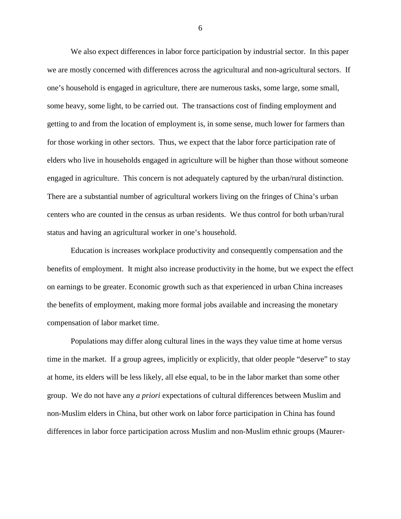We also expect differences in labor force participation by industrial sector. In this paper we are mostly concerned with differences across the agricultural and non-agricultural sectors. If one's household is engaged in agriculture, there are numerous tasks, some large, some small, some heavy, some light, to be carried out. The transactions cost of finding employment and getting to and from the location of employment is, in some sense, much lower for farmers than for those working in other sectors. Thus, we expect that the labor force participation rate of elders who live in households engaged in agriculture will be higher than those without someone engaged in agriculture. This concern is not adequately captured by the urban/rural distinction. There are a substantial number of agricultural workers living on the fringes of China's urban centers who are counted in the census as urban residents. We thus control for both urban/rural status and having an agricultural worker in one's household.

 Education is increases workplace productivity and consequently compensation and the benefits of employment. It might also increase productivity in the home, but we expect the effect on earnings to be greater. Economic growth such as that experienced in urban China increases the benefits of employment, making more formal jobs available and increasing the monetary compensation of labor market time.

 Populations may differ along cultural lines in the ways they value time at home versus time in the market. If a group agrees, implicitly or explicitly, that older people "deserve" to stay at home, its elders will be less likely, all else equal, to be in the labor market than some other group. We do not have any *a priori* expectations of cultural differences between Muslim and non-Muslim elders in China, but other work on labor force participation in China has found differences in labor force participation across Muslim and non-Muslim ethnic groups (Maurer-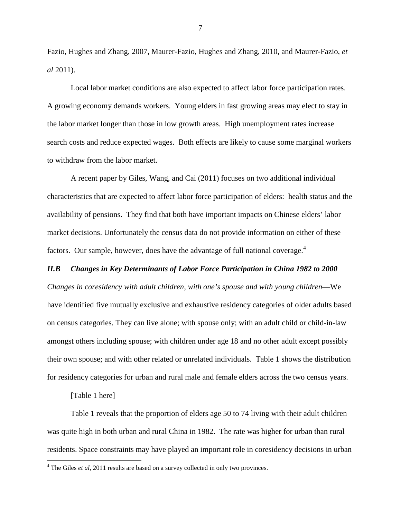Fazio, Hughes and Zhang, 2007, Maurer-Fazio, Hughes and Zhang, 2010, and Maurer-Fazio, *et al* 2011).

 Local labor market conditions are also expected to affect labor force participation rates. A growing economy demands workers. Young elders in fast growing areas may elect to stay in the labor market longer than those in low growth areas. High unemployment rates increase search costs and reduce expected wages. Both effects are likely to cause some marginal workers to withdraw from the labor market.

 A recent paper by Giles, Wang, and Cai (2011) focuses on two additional individual characteristics that are expected to affect labor force participation of elders: health status and the availability of pensions. They find that both have important impacts on Chinese elders' labor market decisions. Unfortunately the census data do not provide information on either of these factors. Our sample, however, does have the advantage of full national coverage.<sup>4</sup>

#### *II.B Changes in Key Determinants of Labor Force Participation in China 1982 to 2000*

*Changes in coresidency with adult children, with one's spouse and with young children*—We have identified five mutually exclusive and exhaustive residency categories of older adults based on census categories. They can live alone; with spouse only; with an adult child or child-in-law amongst others including spouse; with children under age 18 and no other adult except possibly their own spouse; and with other related or unrelated individuals. Table 1 shows the distribution for residency categories for urban and rural male and female elders across the two census years.

[Table 1 here]

 $\overline{a}$ 

 Table 1 reveals that the proportion of elders age 50 to 74 living with their adult children was quite high in both urban and rural China in 1982. The rate was higher for urban than rural residents. Space constraints may have played an important role in coresidency decisions in urban

<sup>&</sup>lt;sup>4</sup> The Giles *et al*, 2011 results are based on a survey collected in only two provinces.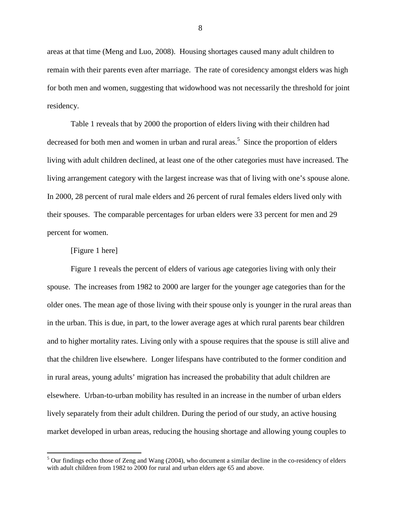areas at that time (Meng and Luo, 2008). Housing shortages caused many adult children to remain with their parents even after marriage. The rate of coresidency amongst elders was high for both men and women, suggesting that widowhood was not necessarily the threshold for joint residency.

Table 1 reveals that by 2000 the proportion of elders living with their children had decreased for both men and women in urban and rural areas.<sup>5</sup> Since the proportion of elders living with adult children declined, at least one of the other categories must have increased. The living arrangement category with the largest increase was that of living with one's spouse alone. In 2000, 28 percent of rural male elders and 26 percent of rural females elders lived only with their spouses. The comparable percentages for urban elders were 33 percent for men and 29 percent for women.

#### [Figure 1 here]

Figure 1 reveals the percent of elders of various age categories living with only their spouse. The increases from 1982 to 2000 are larger for the younger age categories than for the older ones. The mean age of those living with their spouse only is younger in the rural areas than in the urban. This is due, in part, to the lower average ages at which rural parents bear children and to higher mortality rates. Living only with a spouse requires that the spouse is still alive and that the children live elsewhere. Longer lifespans have contributed to the former condition and in rural areas, young adults' migration has increased the probability that adult children are elsewhere. Urban-to-urban mobility has resulted in an increase in the number of urban elders lively separately from their adult children. During the period of our study, an active housing market developed in urban areas, reducing the housing shortage and allowing young couples to

<sup>&</sup>lt;sup>5</sup> Our findings echo those of Zeng and Wang (2004), who document a similar decline in the co-residency of elders with adult children from 1982 to 2000 for rural and urban elders age 65 and above.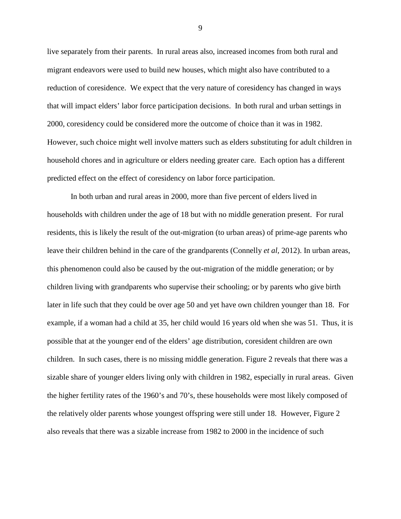live separately from their parents. In rural areas also, increased incomes from both rural and migrant endeavors were used to build new houses, which might also have contributed to a reduction of coresidence. We expect that the very nature of coresidency has changed in ways that will impact elders' labor force participation decisions. In both rural and urban settings in 2000, coresidency could be considered more the outcome of choice than it was in 1982. However, such choice might well involve matters such as elders substituting for adult children in household chores and in agriculture or elders needing greater care. Each option has a different predicted effect on the effect of coresidency on labor force participation.

 In both urban and rural areas in 2000, more than five percent of elders lived in households with children under the age of 18 but with no middle generation present. For rural residents, this is likely the result of the out-migration (to urban areas) of prime-age parents who leave their children behind in the care of the grandparents (Connelly *et al,* 2012). In urban areas, this phenomenon could also be caused by the out-migration of the middle generation; or by children living with grandparents who supervise their schooling; or by parents who give birth later in life such that they could be over age 50 and yet have own children younger than 18. For example, if a woman had a child at 35, her child would 16 years old when she was 51. Thus, it is possible that at the younger end of the elders' age distribution, coresident children are own children. In such cases, there is no missing middle generation. Figure 2 reveals that there was a sizable share of younger elders living only with children in 1982, especially in rural areas. Given the higher fertility rates of the 1960's and 70's, these households were most likely composed of the relatively older parents whose youngest offspring were still under 18. However, Figure 2 also reveals that there was a sizable increase from 1982 to 2000 in the incidence of such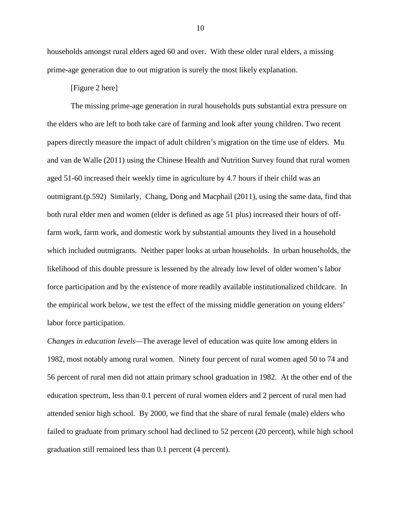households amongst rural elders aged 60 and over. With these older rural elders, a missing prime-age generation due to out migration is surely the most likely explanation.

#### [Figure 2 here]

 The missing prime-age generation in rural households puts substantial extra pressure on the elders who are left to both take care of farming and look after young children. Two recent papers directly measure the impact of adult children's migration on the time use of elders. Mu and van de Walle (2011) using the Chinese Health and Nutrition Survey found that rural women aged 51-60 increased their weekly time in agriculture by 4.7 hours if their child was an outmigrant.(p.592) Similarly, Chang, Dong and Macphail (2011), using the same data, find that both rural elder men and women (elder is defined as age 51 plus) increased their hours of offfarm work, farm work, and domestic work by substantial amounts they lived in a household which included outmigrants. Neither paper looks at urban households. In urban households, the likelihood of this double pressure is lessened by the already low level of older women's labor force participation and by the existence of more readily available institutionalized childcare. In the empirical work below, we test the effect of the missing middle generation on young elders' labor force participation.

*Changes in education levels—*The average level of education was quite low among elders in 1982, most notably among rural women. Ninety four percent of rural women aged 50 to 74 and 56 percent of rural men did not attain primary school graduation in 1982. At the other end of the education spectrum, less than 0.1 percent of rural women elders and 2 percent of rural men had attended senior high school. By 2000, we find that the share of rural female (male) elders who failed to graduate from primary school had declined to 52 percent (20 percent), while high school graduation still remained less than 0.1 percent (4 percent).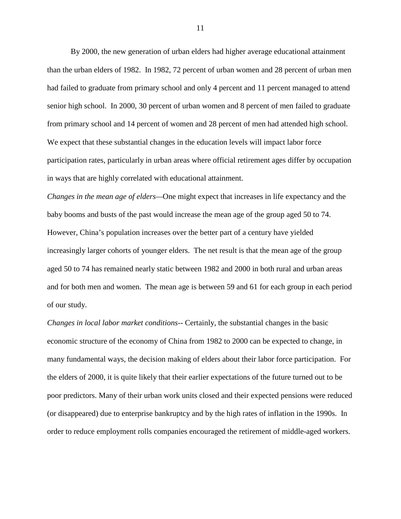By 2000, the new generation of urban elders had higher average educational attainment than the urban elders of 1982. In 1982, 72 percent of urban women and 28 percent of urban men had failed to graduate from primary school and only 4 percent and 11 percent managed to attend senior high school. In 2000, 30 percent of urban women and 8 percent of men failed to graduate from primary school and 14 percent of women and 28 percent of men had attended high school. We expect that these substantial changes in the education levels will impact labor force participation rates, particularly in urban areas where official retirement ages differ by occupation in ways that are highly correlated with educational attainment.

*Changes in the mean age of elders—*One might expect that increases in life expectancy and the baby booms and busts of the past would increase the mean age of the group aged 50 to 74. However, China's population increases over the better part of a century have yielded increasingly larger cohorts of younger elders. The net result is that the mean age of the group aged 50 to 74 has remained nearly static between 1982 and 2000 in both rural and urban areas and for both men and women. The mean age is between 59 and 61 for each group in each period of our study.

*Changes in local labor market conditions--* Certainly, the substantial changes in the basic economic structure of the economy of China from 1982 to 2000 can be expected to change, in many fundamental ways, the decision making of elders about their labor force participation. For the elders of 2000, it is quite likely that their earlier expectations of the future turned out to be poor predictors. Many of their urban work units closed and their expected pensions were reduced (or disappeared) due to enterprise bankruptcy and by the high rates of inflation in the 1990s. In order to reduce employment rolls companies encouraged the retirement of middle-aged workers.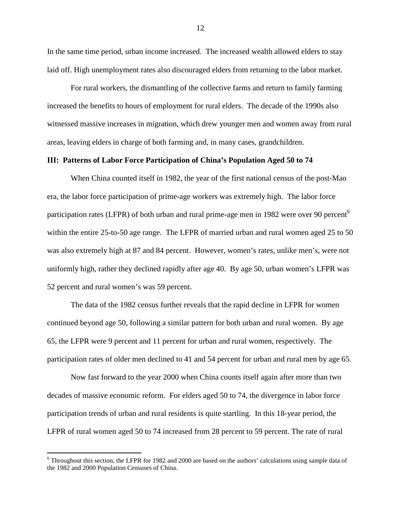In the same time period, urban income increased. The increased wealth allowed elders to stay laid off. High unemployment rates also discouraged elders from returning to the labor market.

For rural workers, the dismantling of the collective farms and return to family farming increased the benefits to hours of employment for rural elders. The decade of the 1990s also witnessed massive increases in migration, which drew younger men and women away from rural areas, leaving elders in charge of both farming and, in many cases, grandchildren.

#### **III: Patterns of Labor Force Participation of China's Population Aged 50 to 74**

When China counted itself in 1982, the year of the first national census of the post-Mao era, the labor force participation of prime-age workers was extremely high. The labor force participation rates (LFPR) of both urban and rural prime-age men in 1982 were over 90 percent<sup>6</sup> within the entire 25-to-50 age range. The LFPR of married urban and rural women aged 25 to 50 was also extremely high at 87 and 84 percent. However, women's rates, unlike men's, were not uniformly high, rather they declined rapidly after age 40. By age 50, urban women's LFPR was 52 percent and rural women's was 59 percent.

The data of the 1982 census further reveals that the rapid decline in LFPR for women continued beyond age 50, following a similar pattern for both urban and rural women. By age 65, the LFPR were 9 percent and 11 percent for urban and rural women, respectively. The participation rates of older men declined to 41 and 54 percent for urban and rural men by age 65.

Now fast forward to the year 2000 when China counts itself again after more than two decades of massive economic reform. For elders aged 50 to 74, the divergence in labor force participation trends of urban and rural residents is quite startling. In this 18-year period, the LFPR of rural women aged 50 to 74 increased from 28 percent to 59 percent. The rate of rural

<sup>&</sup>lt;sup>6</sup> Throughout this section, the LFPR for 1982 and 2000 are based on the authors' calculations using sample data of the 1982 and 2000 Population Censuses of China.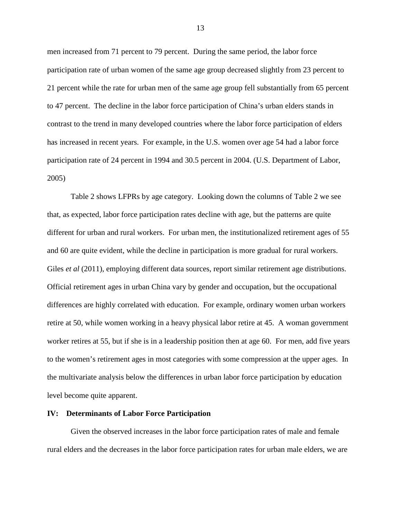men increased from 71 percent to 79 percent. During the same period, the labor force participation rate of urban women of the same age group decreased slightly from 23 percent to 21 percent while the rate for urban men of the same age group fell substantially from 65 percent to 47 percent. The decline in the labor force participation of China's urban elders stands in contrast to the trend in many developed countries where the labor force participation of elders has increased in recent years. For example, in the U.S. women over age 54 had a labor force participation rate of 24 percent in 1994 and 30.5 percent in 2004. (U.S. Department of Labor, 2005)

Table 2 shows LFPRs by age category. Looking down the columns of Table 2 we see that, as expected, labor force participation rates decline with age, but the patterns are quite different for urban and rural workers. For urban men, the institutionalized retirement ages of 55 and 60 are quite evident, while the decline in participation is more gradual for rural workers. Giles *et al* (2011), employing different data sources, report similar retirement age distributions. Official retirement ages in urban China vary by gender and occupation, but the occupational differences are highly correlated with education. For example, ordinary women urban workers retire at 50, while women working in a heavy physical labor retire at 45. A woman government worker retires at 55, but if she is in a leadership position then at age 60. For men, add five years to the women's retirement ages in most categories with some compression at the upper ages. In the multivariate analysis below the differences in urban labor force participation by education level become quite apparent.

#### **IV: Determinants of Labor Force Participation**

 Given the observed increases in the labor force participation rates of male and female rural elders and the decreases in the labor force participation rates for urban male elders, we are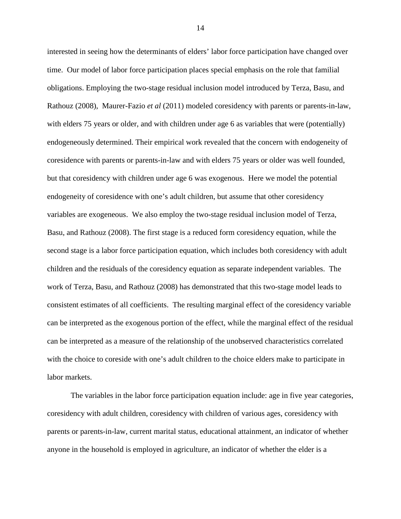interested in seeing how the determinants of elders' labor force participation have changed over time. Our model of labor force participation places special emphasis on the role that familial obligations. Employing the two-stage residual inclusion model introduced by Terza, Basu, and Rathouz (2008), Maurer-Fazio *et al* (2011) modeled coresidency with parents or parents-in-law, with elders 75 years or older, and with children under age 6 as variables that were (potentially) endogeneously determined. Their empirical work revealed that the concern with endogeneity of coresidence with parents or parents-in-law and with elders 75 years or older was well founded, but that coresidency with children under age 6 was exogenous. Here we model the potential endogeneity of coresidence with one's adult children, but assume that other coresidency variables are exogeneous. We also employ the two-stage residual inclusion model of Terza, Basu, and Rathouz (2008). The first stage is a reduced form coresidency equation, while the second stage is a labor force participation equation, which includes both coresidency with adult children and the residuals of the coresidency equation as separate independent variables. The work of Terza, Basu, and Rathouz (2008) has demonstrated that this two-stage model leads to consistent estimates of all coefficients. The resulting marginal effect of the coresidency variable can be interpreted as the exogenous portion of the effect, while the marginal effect of the residual can be interpreted as a measure of the relationship of the unobserved characteristics correlated with the choice to coreside with one's adult children to the choice elders make to participate in labor markets.

 The variables in the labor force participation equation include: age in five year categories, coresidency with adult children, coresidency with children of various ages, coresidency with parents or parents-in-law, current marital status, educational attainment, an indicator of whether anyone in the household is employed in agriculture, an indicator of whether the elder is a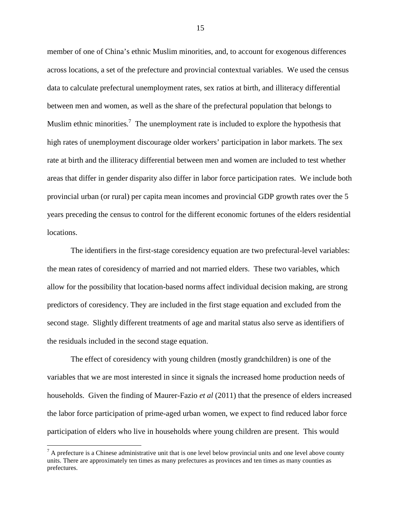member of one of China's ethnic Muslim minorities, and, to account for exogenous differences across locations, a set of the prefecture and provincial contextual variables. We used the census data to calculate prefectural unemployment rates, sex ratios at birth, and illiteracy differential between men and women, as well as the share of the prefectural population that belongs to Muslim ethnic minorities.<sup>7</sup> The unemployment rate is included to explore the hypothesis that high rates of unemployment discourage older workers' participation in labor markets. The sex rate at birth and the illiteracy differential between men and women are included to test whether areas that differ in gender disparity also differ in labor force participation rates. We include both provincial urban (or rural) per capita mean incomes and provincial GDP growth rates over the 5 years preceding the census to control for the different economic fortunes of the elders residential locations.

The identifiers in the first-stage coresidency equation are two prefectural-level variables: the mean rates of coresidency of married and not married elders. These two variables, which allow for the possibility that location-based norms affect individual decision making, are strong predictors of coresidency. They are included in the first stage equation and excluded from the second stage. Slightly different treatments of age and marital status also serve as identifiers of the residuals included in the second stage equation.

The effect of coresidency with young children (mostly grandchildren) is one of the variables that we are most interested in since it signals the increased home production needs of households. Given the finding of Maurer-Fazio *et al* (2011) that the presence of elders increased the labor force participation of prime-aged urban women, we expect to find reduced labor force participation of elders who live in households where young children are present. This would

<u>.</u>

 $<sup>7</sup>$  A prefecture is a Chinese administrative unit that is one level below provincial units and one level above county</sup> units. There are approximately ten times as many prefectures as provinces and ten times as many counties as prefectures.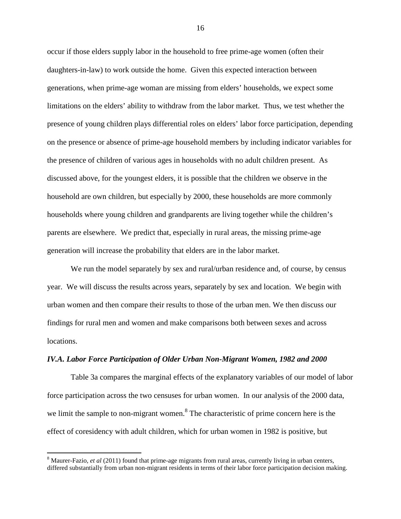occur if those elders supply labor in the household to free prime-age women (often their daughters-in-law) to work outside the home. Given this expected interaction between generations, when prime-age woman are missing from elders' households, we expect some limitations on the elders' ability to withdraw from the labor market. Thus, we test whether the presence of young children plays differential roles on elders' labor force participation, depending on the presence or absence of prime-age household members by including indicator variables for the presence of children of various ages in households with no adult children present. As discussed above, for the youngest elders, it is possible that the children we observe in the household are own children, but especially by 2000, these households are more commonly households where young children and grandparents are living together while the children's parents are elsewhere. We predict that, especially in rural areas, the missing prime-age generation will increase the probability that elders are in the labor market.

 We run the model separately by sex and rural/urban residence and, of course, by census year. We will discuss the results across years, separately by sex and location. We begin with urban women and then compare their results to those of the urban men. We then discuss our findings for rural men and women and make comparisons both between sexes and across locations.

#### *IV.A. Labor Force Participation of Older Urban Non-Migrant Women, 1982 and 2000*

 Table 3a compares the marginal effects of the explanatory variables of our model of labor force participation across the two censuses for urban women. In our analysis of the 2000 data, we limit the sample to non-migrant women.<sup>8</sup> The characteristic of prime concern here is the effect of coresidency with adult children, which for urban women in 1982 is positive, but

 $\overline{a}$ 

<sup>&</sup>lt;sup>8</sup> Maurer-Fazio, *et al* (2011) found that prime-age migrants from rural areas, currently living in urban centers, differed substantially from urban non-migrant residents in terms of their labor force participation decision making.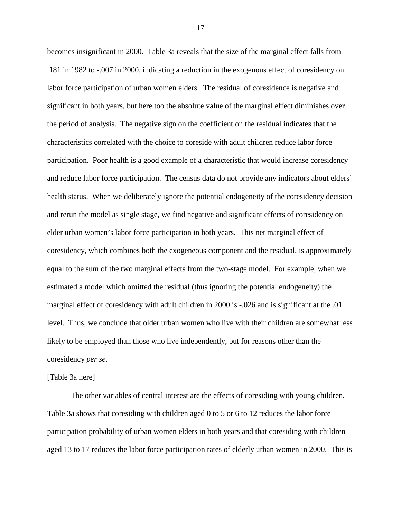becomes insignificant in 2000. Table 3a reveals that the size of the marginal effect falls from .181 in 1982 to -.007 in 2000, indicating a reduction in the exogenous effect of coresidency on labor force participation of urban women elders. The residual of coresidence is negative and significant in both years, but here too the absolute value of the marginal effect diminishes over the period of analysis. The negative sign on the coefficient on the residual indicates that the characteristics correlated with the choice to coreside with adult children reduce labor force participation. Poor health is a good example of a characteristic that would increase coresidency and reduce labor force participation. The census data do not provide any indicators about elders' health status. When we deliberately ignore the potential endogeneity of the coresidency decision and rerun the model as single stage, we find negative and significant effects of coresidency on elder urban women's labor force participation in both years. This net marginal effect of coresidency, which combines both the exogeneous component and the residual, is approximately equal to the sum of the two marginal effects from the two-stage model. For example, when we estimated a model which omitted the residual (thus ignoring the potential endogeneity) the marginal effect of coresidency with adult children in 2000 is -.026 and is significant at the .01 level. Thus, we conclude that older urban women who live with their children are somewhat less likely to be employed than those who live independently, but for reasons other than the coresidency *per se*.

#### [Table 3a here]

 The other variables of central interest are the effects of coresiding with young children. Table 3a shows that coresiding with children aged 0 to 5 or 6 to 12 reduces the labor force participation probability of urban women elders in both years and that coresiding with children aged 13 to 17 reduces the labor force participation rates of elderly urban women in 2000. This is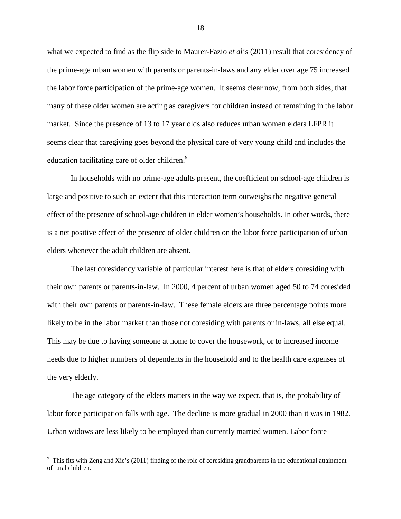what we expected to find as the flip side to Maurer-Fazio *et al*'s (2011) result that coresidency of the prime-age urban women with parents or parents-in-laws and any elder over age 75 increased the labor force participation of the prime-age women. It seems clear now, from both sides, that many of these older women are acting as caregivers for children instead of remaining in the labor market. Since the presence of 13 to 17 year olds also reduces urban women elders LFPR it seems clear that caregiving goes beyond the physical care of very young child and includes the education facilitating care of older children.<sup>9</sup>

In households with no prime-age adults present, the coefficient on school-age children is large and positive to such an extent that this interaction term outweighs the negative general effect of the presence of school-age children in elder women's households. In other words, there is a net positive effect of the presence of older children on the labor force participation of urban elders whenever the adult children are absent.

 The last coresidency variable of particular interest here is that of elders coresiding with their own parents or parents-in-law. In 2000, 4 percent of urban women aged 50 to 74 coresided with their own parents or parents-in-law. These female elders are three percentage points more likely to be in the labor market than those not coresiding with parents or in-laws, all else equal. This may be due to having someone at home to cover the housework, or to increased income needs due to higher numbers of dependents in the household and to the health care expenses of the very elderly.

 The age category of the elders matters in the way we expect, that is, the probability of labor force participation falls with age. The decline is more gradual in 2000 than it was in 1982. Urban widows are less likely to be employed than currently married women. Labor force

<sup>&</sup>lt;sup>9</sup> This fits with Zeng and Xie's (2011) finding of the role of coresiding grandparents in the educational attainment of rural children.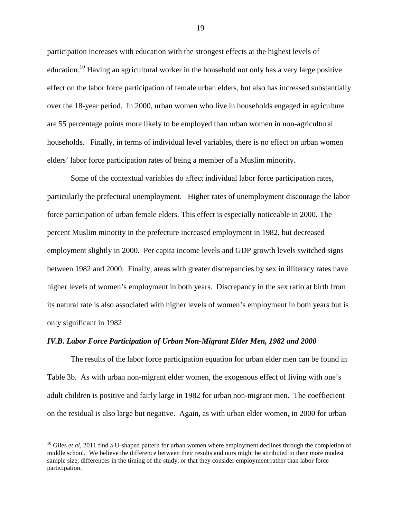participation increases with education with the strongest effects at the highest levels of education.<sup>10</sup> Having an agricultural worker in the household not only has a very large positive effect on the labor force participation of female urban elders, but also has increased substantially over the 18-year period. In 2000, urban women who live in households engaged in agriculture are 55 percentage points more likely to be employed than urban women in non-agricultural households. Finally, in terms of individual level variables, there is no effect on urban women elders' labor force participation rates of being a member of a Muslim minority.

 Some of the contextual variables do affect individual labor force participation rates, particularly the prefectural unemployment. Higher rates of unemployment discourage the labor force participation of urban female elders. This effect is especially noticeable in 2000. The percent Muslim minority in the prefecture increased employment in 1982, but decreased employment slightly in 2000. Per capita income levels and GDP growth levels switched signs between 1982 and 2000. Finally, areas with greater discrepancies by sex in illiteracy rates have higher levels of women's employment in both years. Discrepancy in the sex ratio at birth from its natural rate is also associated with higher levels of women's employment in both years but is only significant in 1982

#### *IV.B. Labor Force Participation of Urban Non-Migrant Elder Men, 1982 and 2000*

 $\overline{a}$ 

 The results of the labor force participation equation for urban elder men can be found in Table 3b. As with urban non-migrant elder women, the exogenous effect of living with one's adult children is positive and fairly large in 1982 for urban non-migrant men. The coeffiecient on the residual is also large but negative. Again, as with urban elder women, in 2000 for urban

<sup>&</sup>lt;sup>10</sup> Giles *et al*, 2011 find a U-shaped pattern for urban women where employment declines through the completion of middle school. We believe the difference between their results and ours might be attributed to their more modest sample size, differences in the timing of the study, or that they consider employment rather than labor force participation.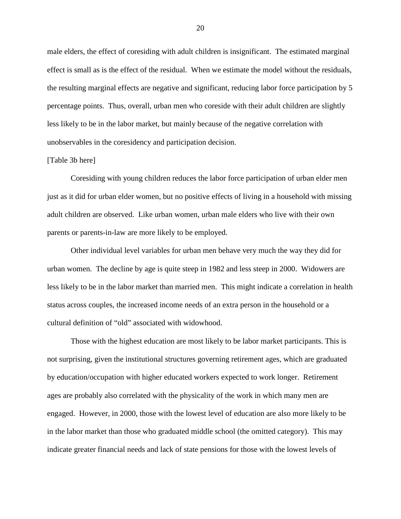male elders, the effect of coresiding with adult children is insignificant. The estimated marginal effect is small as is the effect of the residual. When we estimate the model without the residuals, the resulting marginal effects are negative and significant, reducing labor force participation by 5 percentage points. Thus, overall, urban men who coreside with their adult children are slightly less likely to be in the labor market, but mainly because of the negative correlation with unobservables in the coresidency and participation decision.

#### [Table 3b here]

 Coresiding with young children reduces the labor force participation of urban elder men just as it did for urban elder women, but no positive effects of living in a household with missing adult children are observed. Like urban women, urban male elders who live with their own parents or parents-in-law are more likely to be employed.

 Other individual level variables for urban men behave very much the way they did for urban women. The decline by age is quite steep in 1982 and less steep in 2000. Widowers are less likely to be in the labor market than married men. This might indicate a correlation in health status across couples, the increased income needs of an extra person in the household or a cultural definition of "old" associated with widowhood.

Those with the highest education are most likely to be labor market participants. This is not surprising, given the institutional structures governing retirement ages, which are graduated by education/occupation with higher educated workers expected to work longer. Retirement ages are probably also correlated with the physicality of the work in which many men are engaged. However, in 2000, those with the lowest level of education are also more likely to be in the labor market than those who graduated middle school (the omitted category). This may indicate greater financial needs and lack of state pensions for those with the lowest levels of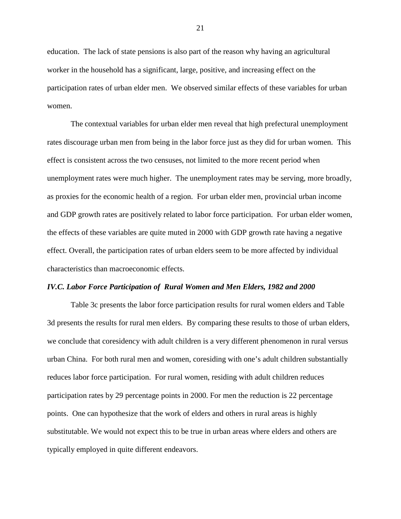education. The lack of state pensions is also part of the reason why having an agricultural worker in the household has a significant, large, positive, and increasing effect on the participation rates of urban elder men. We observed similar effects of these variables for urban women.

The contextual variables for urban elder men reveal that high prefectural unemployment rates discourage urban men from being in the labor force just as they did for urban women. This effect is consistent across the two censuses, not limited to the more recent period when unemployment rates were much higher. The unemployment rates may be serving, more broadly, as proxies for the economic health of a region. For urban elder men, provincial urban income and GDP growth rates are positively related to labor force participation. For urban elder women, the effects of these variables are quite muted in 2000 with GDP growth rate having a negative effect. Overall, the participation rates of urban elders seem to be more affected by individual characteristics than macroeconomic effects.

#### *IV.C. Labor Force Participation of Rural Women and Men Elders, 1982 and 2000*

 Table 3c presents the labor force participation results for rural women elders and Table 3d presents the results for rural men elders. By comparing these results to those of urban elders, we conclude that coresidency with adult children is a very different phenomenon in rural versus urban China. For both rural men and women, coresiding with one's adult children substantially reduces labor force participation. For rural women, residing with adult children reduces participation rates by 29 percentage points in 2000. For men the reduction is 22 percentage points. One can hypothesize that the work of elders and others in rural areas is highly substitutable. We would not expect this to be true in urban areas where elders and others are typically employed in quite different endeavors.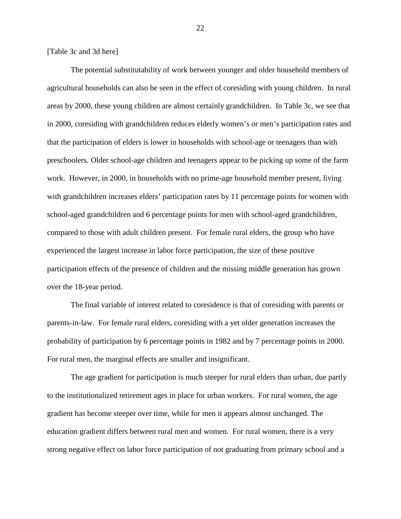[Table 3c and 3d here]

The potential substitutability of work between younger and older household members of agricultural households can also be seen in the effect of coresiding with young children. In rural areas by 2000, these young children are almost certainly grandchildren. In Table 3c, we see that in 2000, coresiding with grandchildren reduces elderly women's or men's participation rates and that the participation of elders is lower in households with school-age or teenagers than with preschoolers. Older school-age children and teenagers appear to be picking up some of the farm work. However, in 2000, in households with no prime-age household member present, living with grandchildren increases elders' participation rates by 11 percentage points for women with school-aged grandchildren and 6 percentage points for men with school-aged grandchildren, compared to those with adult children present. For female rural elders, the group who have experienced the largest increase in labor force participation, the size of these positive participation effects of the presence of children and the missing middle generation has grown over the 18-year period.

The final variable of interest related to coresidence is that of coresiding with parents or parents-in-law. For female rural elders, coresiding with a yet older generation increases the probability of participation by 6 percentage points in 1982 and by 7 percentage points in 2000. For rural men, the marginal effects are smaller and insignificant.

The age gradient for participation is much steeper for rural elders than urban, due partly to the institutionalized retirement ages in place for urban workers. For rural women, the age gradient has become steeper over time, while for men it appears almost unchanged. The education gradient differs between rural men and women. For rural women, there is a very strong negative effect on labor force participation of not graduating from primary school and a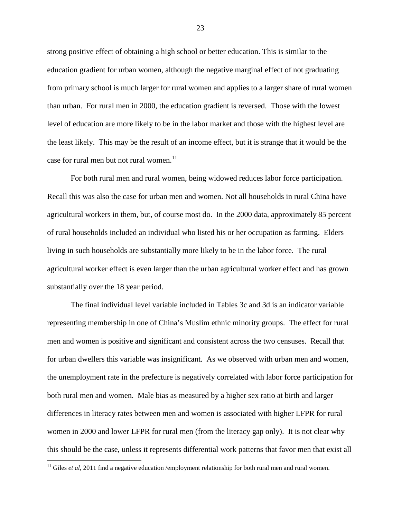strong positive effect of obtaining a high school or better education. This is similar to the education gradient for urban women, although the negative marginal effect of not graduating from primary school is much larger for rural women and applies to a larger share of rural women than urban. For rural men in 2000, the education gradient is reversed. Those with the lowest level of education are more likely to be in the labor market and those with the highest level are the least likely. This may be the result of an income effect, but it is strange that it would be the case for rural men but not rural women.<sup>11</sup>

For both rural men and rural women, being widowed reduces labor force participation. Recall this was also the case for urban men and women. Not all households in rural China have agricultural workers in them, but, of course most do. In the 2000 data, approximately 85 percent of rural households included an individual who listed his or her occupation as farming. Elders living in such households are substantially more likely to be in the labor force. The rural agricultural worker effect is even larger than the urban agricultural worker effect and has grown substantially over the 18 year period.

The final individual level variable included in Tables 3c and 3d is an indicator variable representing membership in one of China's Muslim ethnic minority groups. The effect for rural men and women is positive and significant and consistent across the two censuses. Recall that for urban dwellers this variable was insignificant. As we observed with urban men and women, the unemployment rate in the prefecture is negatively correlated with labor force participation for both rural men and women. Male bias as measured by a higher sex ratio at birth and larger differences in literacy rates between men and women is associated with higher LFPR for rural women in 2000 and lower LFPR for rural men (from the literacy gap only). It is not clear why this should be the case, unless it represents differential work patterns that favor men that exist all

 $\overline{a}$ 

<sup>&</sup>lt;sup>11</sup> Giles *et al*, 2011 find a negative education /employment relationship for both rural men and rural women.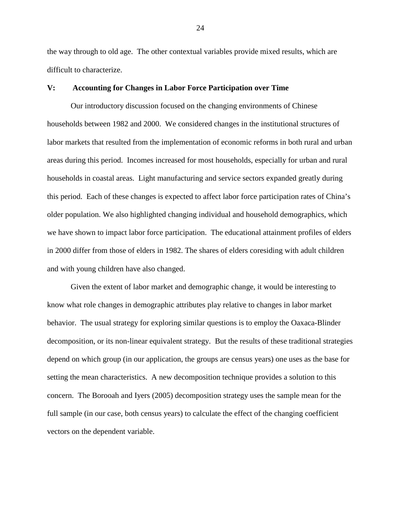the way through to old age. The other contextual variables provide mixed results, which are difficult to characterize.

#### **V: Accounting for Changes in Labor Force Participation over Time**

 Our introductory discussion focused on the changing environments of Chinese households between 1982 and 2000. We considered changes in the institutional structures of labor markets that resulted from the implementation of economic reforms in both rural and urban areas during this period. Incomes increased for most households, especially for urban and rural households in coastal areas. Light manufacturing and service sectors expanded greatly during this period. Each of these changes is expected to affect labor force participation rates of China's older population. We also highlighted changing individual and household demographics, which we have shown to impact labor force participation. The educational attainment profiles of elders in 2000 differ from those of elders in 1982. The shares of elders coresiding with adult children and with young children have also changed.

 Given the extent of labor market and demographic change, it would be interesting to know what role changes in demographic attributes play relative to changes in labor market behavior. The usual strategy for exploring similar questions is to employ the Oaxaca-Blinder decomposition, or its non-linear equivalent strategy. But the results of these traditional strategies depend on which group (in our application, the groups are census years) one uses as the base for setting the mean characteristics. A new decomposition technique provides a solution to this concern. The Borooah and Iyers (2005) decomposition strategy uses the sample mean for the full sample (in our case, both census years) to calculate the effect of the changing coefficient vectors on the dependent variable.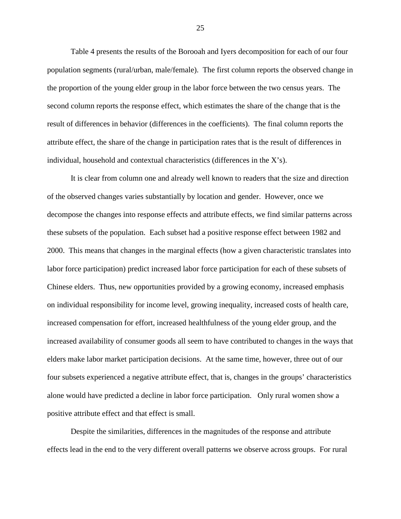Table 4 presents the results of the Borooah and Iyers decomposition for each of our four population segments (rural/urban, male/female). The first column reports the observed change in the proportion of the young elder group in the labor force between the two census years. The second column reports the response effect, which estimates the share of the change that is the result of differences in behavior (differences in the coefficients). The final column reports the attribute effect, the share of the change in participation rates that is the result of differences in individual, household and contextual characteristics (differences in the X's).

 It is clear from column one and already well known to readers that the size and direction of the observed changes varies substantially by location and gender. However, once we decompose the changes into response effects and attribute effects, we find similar patterns across these subsets of the population. Each subset had a positive response effect between 1982 and 2000. This means that changes in the marginal effects (how a given characteristic translates into labor force participation) predict increased labor force participation for each of these subsets of Chinese elders. Thus, new opportunities provided by a growing economy, increased emphasis on individual responsibility for income level, growing inequality, increased costs of health care, increased compensation for effort, increased healthfulness of the young elder group, and the increased availability of consumer goods all seem to have contributed to changes in the ways that elders make labor market participation decisions. At the same time, however, three out of our four subsets experienced a negative attribute effect, that is, changes in the groups' characteristics alone would have predicted a decline in labor force participation. Only rural women show a positive attribute effect and that effect is small.

Despite the similarities, differences in the magnitudes of the response and attribute effects lead in the end to the very different overall patterns we observe across groups. For rural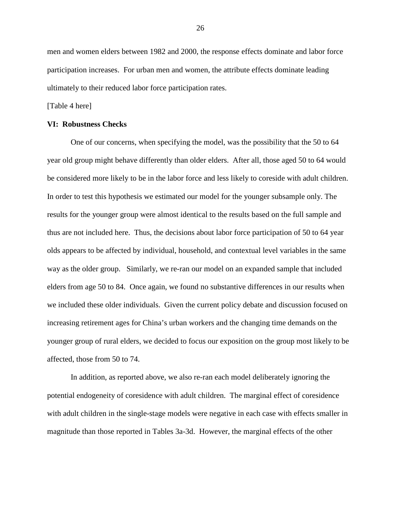men and women elders between 1982 and 2000, the response effects dominate and labor force participation increases. For urban men and women, the attribute effects dominate leading ultimately to their reduced labor force participation rates.

[Table 4 here]

#### **VI: Robustness Checks**

 One of our concerns, when specifying the model, was the possibility that the 50 to 64 year old group might behave differently than older elders. After all, those aged 50 to 64 would be considered more likely to be in the labor force and less likely to coreside with adult children. In order to test this hypothesis we estimated our model for the younger subsample only. The results for the younger group were almost identical to the results based on the full sample and thus are not included here. Thus, the decisions about labor force participation of 50 to 64 year olds appears to be affected by individual, household, and contextual level variables in the same way as the older group. Similarly, we re-ran our model on an expanded sample that included elders from age 50 to 84. Once again, we found no substantive differences in our results when we included these older individuals. Given the current policy debate and discussion focused on increasing retirement ages for China's urban workers and the changing time demands on the younger group of rural elders, we decided to focus our exposition on the group most likely to be affected, those from 50 to 74.

 In addition, as reported above, we also re-ran each model deliberately ignoring the potential endogeneity of coresidence with adult children. The marginal effect of coresidence with adult children in the single-stage models were negative in each case with effects smaller in magnitude than those reported in Tables 3a-3d. However, the marginal effects of the other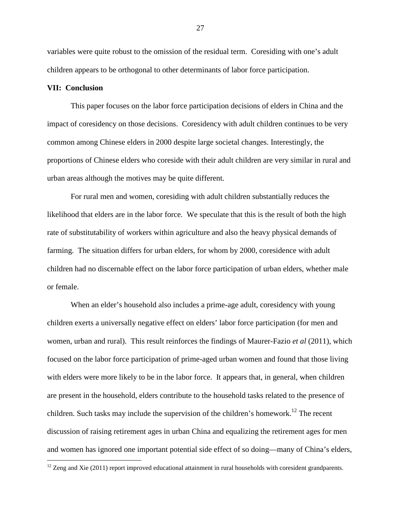variables were quite robust to the omission of the residual term. Coresiding with one's adult children appears to be orthogonal to other determinants of labor force participation.

#### **VII: Conclusion**

<u>.</u>

This paper focuses on the labor force participation decisions of elders in China and the impact of coresidency on those decisions. Coresidency with adult children continues to be very common among Chinese elders in 2000 despite large societal changes. Interestingly, the proportions of Chinese elders who coreside with their adult children are very similar in rural and urban areas although the motives may be quite different.

 For rural men and women, coresiding with adult children substantially reduces the likelihood that elders are in the labor force. We speculate that this is the result of both the high rate of substitutability of workers within agriculture and also the heavy physical demands of farming. The situation differs for urban elders, for whom by 2000, coresidence with adult children had no discernable effect on the labor force participation of urban elders, whether male or female.

When an elder's household also includes a prime-age adult, coresidency with young children exerts a universally negative effect on elders' labor force participation (for men and women, urban and rural). This result reinforces the findings of Maurer-Fazio *et al* (2011), which focused on the labor force participation of prime-aged urban women and found that those living with elders were more likely to be in the labor force. It appears that, in general, when children are present in the household, elders contribute to the household tasks related to the presence of children. Such tasks may include the supervision of the children's homework.<sup>12</sup> The recent discussion of raising retirement ages in urban China and equalizing the retirement ages for men and women has ignored one important potential side effect of so doing—many of China's elders,

 $12$  Zeng and Xie (2011) report improved educational attainment in rural households with coresident grandparents.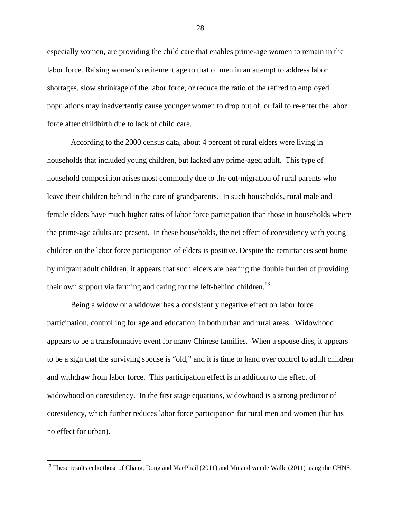especially women, are providing the child care that enables prime-age women to remain in the labor force. Raising women's retirement age to that of men in an attempt to address labor shortages, slow shrinkage of the labor force, or reduce the ratio of the retired to employed populations may inadvertently cause younger women to drop out of, or fail to re-enter the labor force after childbirth due to lack of child care.

According to the 2000 census data, about 4 percent of rural elders were living in households that included young children, but lacked any prime-aged adult. This type of household composition arises most commonly due to the out-migration of rural parents who leave their children behind in the care of grandparents. In such households, rural male and female elders have much higher rates of labor force participation than those in households where the prime-age adults are present. In these households, the net effect of coresidency with young children on the labor force participation of elders is positive. Despite the remittances sent home by migrant adult children, it appears that such elders are bearing the double burden of providing their own support via farming and caring for the left-behind children.<sup>13</sup>

 Being a widow or a widower has a consistently negative effect on labor force participation, controlling for age and education, in both urban and rural areas. Widowhood appears to be a transformative event for many Chinese families. When a spouse dies, it appears to be a sign that the surviving spouse is "old," and it is time to hand over control to adult children and withdraw from labor force. This participation effect is in addition to the effect of widowhood on coresidency. In the first stage equations, widowhood is a strong predictor of coresidency, which further reduces labor force participation for rural men and women (but has no effect for urban).

<u>.</u>

<sup>&</sup>lt;sup>13</sup> These results echo those of Chang, Dong and MacPhail (2011) and Mu and van de Walle (2011) using the CHNS.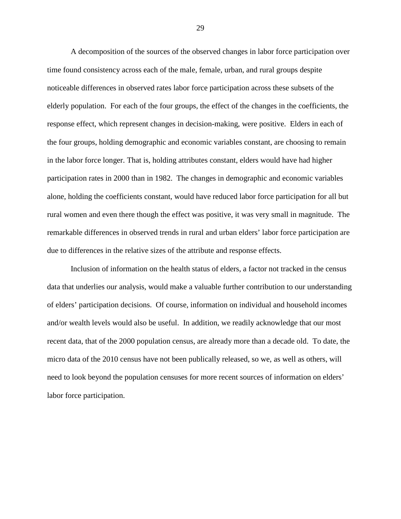A decomposition of the sources of the observed changes in labor force participation over time found consistency across each of the male, female, urban, and rural groups despite noticeable differences in observed rates labor force participation across these subsets of the elderly population. For each of the four groups, the effect of the changes in the coefficients, the response effect, which represent changes in decision-making, were positive. Elders in each of the four groups, holding demographic and economic variables constant, are choosing to remain in the labor force longer. That is, holding attributes constant, elders would have had higher participation rates in 2000 than in 1982. The changes in demographic and economic variables alone, holding the coefficients constant, would have reduced labor force participation for all but rural women and even there though the effect was positive, it was very small in magnitude. The remarkable differences in observed trends in rural and urban elders' labor force participation are due to differences in the relative sizes of the attribute and response effects.

 Inclusion of information on the health status of elders, a factor not tracked in the census data that underlies our analysis, would make a valuable further contribution to our understanding of elders' participation decisions. Of course, information on individual and household incomes and/or wealth levels would also be useful. In addition, we readily acknowledge that our most recent data, that of the 2000 population census, are already more than a decade old. To date, the micro data of the 2010 census have not been publically released, so we, as well as others, will need to look beyond the population censuses for more recent sources of information on elders' labor force participation.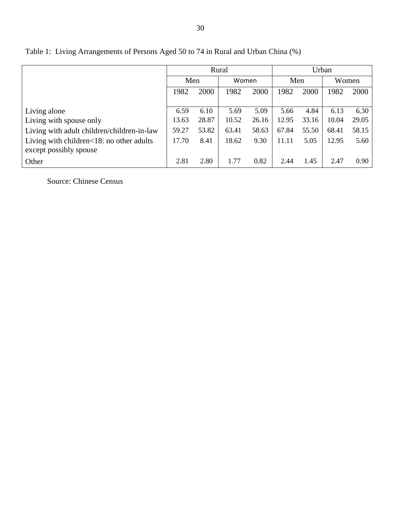|                                            | Rural        |       |       |       | Urban |       |       |       |
|--------------------------------------------|--------------|-------|-------|-------|-------|-------|-------|-------|
|                                            | Men          |       | Women |       | Men   |       | Women |       |
|                                            | 2000<br>1982 |       | 1982  | 2000  | 1982  | 2000  | 1982  | 2000  |
|                                            |              |       |       |       |       |       |       |       |
| Living alone                               | 6.59         | 6.10  | 5.69  | 5.09  | 5.66  | 4.84  | 6.13  | 6.30  |
| Living with spouse only                    | 13.63        | 28.87 | 10.52 | 26.16 | 12.95 | 33.16 | 10.04 | 29.05 |
| Living with adult children/children-in-law | 59.27        | 53.82 | 63.41 | 58.63 | 67.84 | 55.50 | 68.41 | 58.15 |
| Living with children<18: no other adults   | 17.70        | 8.41  | 18.62 | 9.30  | 11.11 | 5.05  | 12.95 | 5.60  |
| except possibly spouse                     |              |       |       |       |       |       |       |       |
| Other                                      | 2.81         | 2.80  | 1.77  | 0.82  | 2.44  | 1.45  | 2.47  | 0.90  |

Table 1: Living Arrangements of Persons Aged 50 to 74 in Rural and Urban China (%)

Source: Chinese Census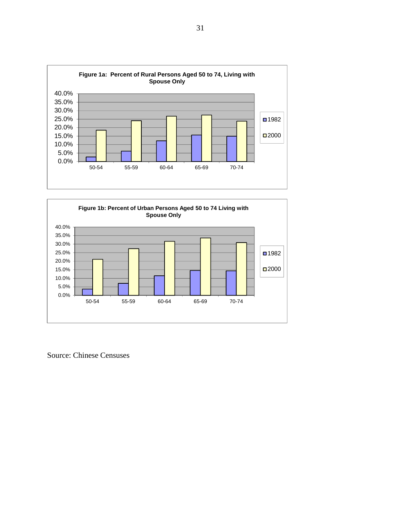



Source: Chinese Censuses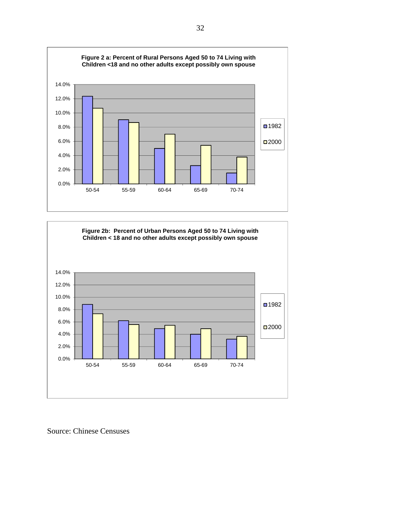



Source: Chinese Censuses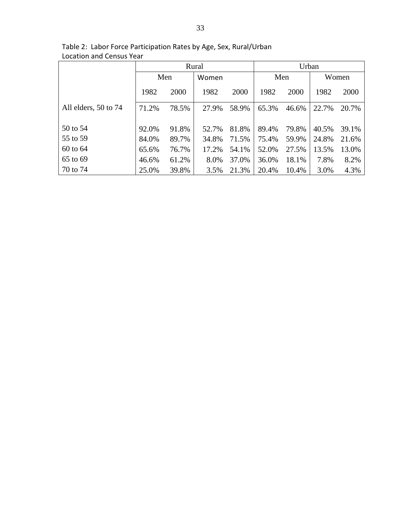|                      | Rural |       |       | Urban |       |       |       |       |
|----------------------|-------|-------|-------|-------|-------|-------|-------|-------|
|                      | Men   |       | Women |       | Men   |       | Women |       |
|                      | 1982  | 2000  | 1982  | 2000  | 1982  | 2000  | 1982  | 2000  |
| All elders, 50 to 74 | 71.2% | 78.5% | 27.9% | 58.9% | 65.3% | 46.6% | 22.7% | 20.7% |
| 50 to 54             | 92.0% | 91.8% | 52.7% | 81.8% | 89.4% | 79.8% | 40.5% | 39.1% |
| 55 to 59             | 84.0% | 89.7% | 34.8% | 71.5% | 75.4% | 59.9% | 24.8% | 21.6% |
| 60 to 64             | 65.6% | 76.7% | 17.2% | 54.1% | 52.0% | 27.5% | 13.5% | 13.0% |
| 65 to 69             | 46.6% | 61.2% | 8.0%  | 37.0% | 36.0% | 18.1% | 7.8%  | 8.2%  |
| 70 to 74             | 25.0% | 39.8% | 3.5%  | 21.3% | 20.4% | 10.4% | 3.0%  | 4.3%  |

Table 2: Labor Force Participation Rates by Age, Sex, Rural/Urban Location and Census Year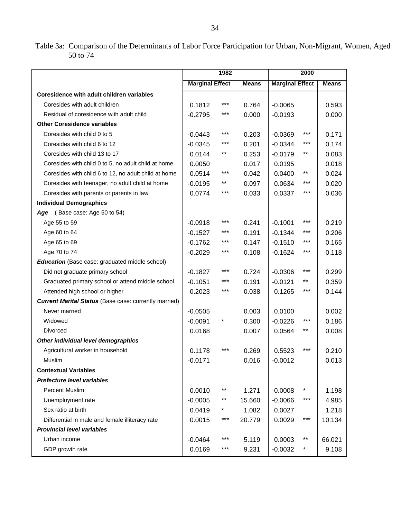Table 3a: Comparison of the Determinants of Labor Force Participation for Urban, Non-Migrant, Women, Aged 50 to 74

|                                                              | 1982                   |            |              | 2000                   |     |              |
|--------------------------------------------------------------|------------------------|------------|--------------|------------------------|-----|--------------|
|                                                              | <b>Marginal Effect</b> |            | <b>Means</b> | <b>Marginal Effect</b> |     | <b>Means</b> |
| Coresidence with adult children variables                    |                        |            |              |                        |     |              |
| Coresides with adult children                                | 0.1812                 | ***        | 0.764        | $-0.0065$              |     | 0.593        |
| Residual of coresidence with adult child                     | $-0.2795$              | ***        | 0.000        | $-0.0193$              |     | 0.000        |
| <b>Other Coresidence variables</b>                           |                        |            |              |                        |     |              |
| Coresides with child 0 to 5                                  | $-0.0443$              | $***$      | 0.203        | $-0.0369$              | *** | 0.171        |
| Coresides with child 6 to 12                                 | $-0.0345$              | ***        | 0.201        | $-0.0344$              | *** | 0.174        |
| Coresides with child 13 to 17                                | 0.0144                 | $***$      | 0.253        | $-0.0179$              | **  | 0.083        |
| Coresides with child 0 to 5, no adult child at home          | 0.0050                 |            | 0.017        | 0.0195                 |     | 0.018        |
| Coresides with child 6 to 12, no adult child at home         | 0.0514                 | $***$      | 0.042        | 0.0400                 | **  | 0.024        |
| Coresides with teenager, no adult child at home              | $-0.0195$              | $***$      | 0.097        | 0.0634                 | *** | 0.020        |
| Coresides with parents or parents in law                     | 0.0774                 | ***        | 0.033        | 0.0337                 | *** | 0.036        |
| <b>Individual Demographics</b>                               |                        |            |              |                        |     |              |
| (Base case: Age 50 to 54)<br>Age                             |                        |            |              |                        |     |              |
| Age 55 to 59                                                 | $-0.0918$              | ***        | 0.241        | $-0.1001$              | *** | 0.219        |
| Age 60 to 64                                                 | $-0.1527$              | ***        | 0.191        | $-0.1344$              | *** | 0.206        |
| Age 65 to 69                                                 | $-0.1762$              | ***        | 0.147        | $-0.1510$              | *** | 0.165        |
| Age 70 to 74                                                 | $-0.2029$              | $***$      | 0.108        | $-0.1624$              | *** | 0.118        |
| <b>Education</b> (Base case: graduated middle school)        |                        |            |              |                        |     |              |
| Did not graduate primary school                              | $-0.1827$              | ***        | 0.724        | $-0.0306$              | *** | 0.299        |
| Graduated primary school or attend middle school             | $-0.1051$              | ***        | 0.191        | $-0.0121$              | **  | 0.359        |
| Attended high school or higher                               | 0.2023                 | $***$      | 0.038        | 0.1265                 | *** | 0.144        |
| <b>Current Marital Status</b> (Base case: currently married) |                        |            |              |                        |     |              |
| Never married                                                | $-0.0505$              |            | 0.003        | 0.0100                 |     | 0.002        |
| Widowed                                                      | $-0.0091$              | $^{\star}$ | 0.300        | $-0.0226$              | *** | 0.186        |
| <b>Divorced</b>                                              | 0.0168                 |            | 0.007        | 0.0564                 | **  | 0.008        |
| Other individual level demographics                          |                        |            |              |                        |     |              |
| Agricultural worker in household                             | 0.1178                 | ***        | 0.269        | 0.5523                 | *** | 0.210        |
| Muslim                                                       | $-0.0171$              |            | 0.016        | $-0.0012$              |     | 0.013        |
| <b>Contextual Variables</b>                                  |                        |            |              |                        |     |              |
| <b>Prefecture level variables</b>                            |                        |            |              |                        |     |              |
| Percent Muslim                                               | 0.0010                 | $***$      | 1.271        | $-0.0008$              |     | 1.198        |
| Unemployment rate                                            | $-0.0005$              | **         | 15.660       | $-0.0066$              | *** | 4.985        |
| Sex ratio at birth                                           | 0.0419                 | $\ast$     | 1.082        | 0.0027                 |     | 1.218        |
| Differential in male and female illiteracy rate              | 0.0015                 | ***        | 20.779       | 0.0029                 | *** | 10.134       |
| <b>Provincial level variables</b>                            |                        |            |              |                        |     |              |
| Urban income                                                 | $-0.0464$              | ***        | 5.119        | 0.0003                 | **  | 66.021       |
| GDP growth rate                                              | 0.0169                 | ***        | 9.231        | $-0.0032$              | *   | 9.108        |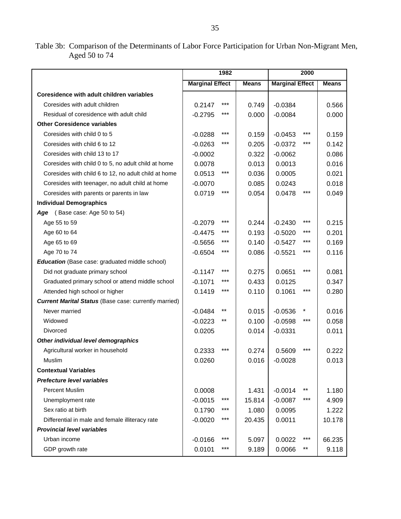Table 3b: Comparison of the Determinants of Labor Force Participation for Urban Non-Migrant Men, Aged 50 to 74

|                                                              | 1982                   |       |              | 2000                   |       |              |
|--------------------------------------------------------------|------------------------|-------|--------------|------------------------|-------|--------------|
|                                                              | <b>Marginal Effect</b> |       | <b>Means</b> | <b>Marginal Effect</b> |       | <b>Means</b> |
| Coresidence with adult children variables                    |                        |       |              |                        |       |              |
| Coresides with adult children                                | 0.2147                 | $***$ | 0.749        | $-0.0384$              |       | 0.566        |
| Residual of coresidence with adult child                     | $-0.2795$              | ***   | 0.000        | $-0.0084$              |       | 0.000        |
| <b>Other Coresidence variables</b>                           |                        |       |              |                        |       |              |
| Coresides with child 0 to 5                                  | $-0.0288$              | ***   | 0.159        | $-0.0453$              | ***   | 0.159        |
| Coresides with child 6 to 12                                 | $-0.0263$              | ***   | 0.205        | $-0.0372$              | ***   | 0.142        |
| Coresides with child 13 to 17                                | $-0.0002$              |       | 0.322        | $-0.0062$              |       | 0.086        |
| Coresides with child 0 to 5, no adult child at home          | 0.0078                 |       | 0.013        | 0.0013                 |       | 0.016        |
| Coresides with child 6 to 12, no adult child at home         | 0.0513                 | ***   | 0.036        | 0.0005                 |       | 0.021        |
| Coresides with teenager, no adult child at home              | $-0.0070$              |       | 0.085        | 0.0243                 |       | 0.018        |
| Coresides with parents or parents in law                     | 0.0719                 | ***   | 0.054        | 0.0478                 | ***   | 0.049        |
| <b>Individual Demographics</b>                               |                        |       |              |                        |       |              |
| Age (Base case: Age 50 to 54)                                |                        |       |              |                        |       |              |
| Age 55 to 59                                                 | $-0.2079$              | ***   | 0.244        | $-0.2430$              | ***   | 0.215        |
| Age 60 to 64                                                 | $-0.4475$              | ***   | 0.193        | $-0.5020$              | ***   | 0.201        |
| Age 65 to 69                                                 | $-0.5656$              | ***   | 0.140        | $-0.5427$              | ***   | 0.169        |
| Age 70 to 74                                                 | $-0.6504$              | ***   | 0.086        | $-0.5521$              | ***   | 0.116        |
| <b>Education</b> (Base case: graduated middle school)        |                        |       |              |                        |       |              |
| Did not graduate primary school                              | $-0.1147$              | ***   | 0.275        | 0.0651                 | ***   | 0.081        |
| Graduated primary school or attend middle school             | $-0.1071$              | ***   | 0.433        | 0.0125                 |       | 0.347        |
| Attended high school or higher                               | 0.1419                 | ***   | 0.110        | 0.1061                 | ***   | 0.280        |
| <b>Current Marital Status</b> (Base case: currently married) |                        |       |              |                        |       |              |
| Never married                                                | $-0.0484$              | $***$ | 0.015        | $-0.0536$              | *     | 0.016        |
| Widowed                                                      | $-0.0223$              | $***$ | 0.100        | $-0.0598$              | ***   | 0.058        |
| Divorced                                                     | 0.0205                 |       | 0.014        | $-0.0331$              |       | 0.011        |
| Other individual level demographics                          |                        |       |              |                        |       |              |
| Agricultural worker in household                             | 0.2333                 | ***   | 0.274        | 0.5609                 | ***   | 0.222        |
| Muslim                                                       | 0.0260                 |       | 0.016        | $-0.0028$              |       | 0.013        |
| <b>Contextual Variables</b>                                  |                        |       |              |                        |       |              |
| Prefecture level variables                                   |                        |       |              |                        |       |              |
| <b>Percent Muslim</b>                                        | 0.0008                 |       | 1.431        | $-0.0014$              | $***$ | 1.180        |
| Unemployment rate                                            | $-0.0015$              | ***   | 15.814       | $-0.0087$              | ***   | 4.909        |
| Sex ratio at birth                                           | 0.1790                 | ***   | 1.080        | 0.0095                 |       | 1.222        |
| Differential in male and female illiteracy rate              | $-0.0020$              | ***   | 20.435       | 0.0011                 |       | 10.178       |
| <b>Provincial level variables</b>                            |                        |       |              |                        |       |              |
| Urban income                                                 | $-0.0166$              | ***   | 5.097        | 0.0022                 | ***   | 66.235       |
| GDP growth rate                                              | 0.0101                 | ***   | 9.189        | 0.0066                 | $***$ | 9.118        |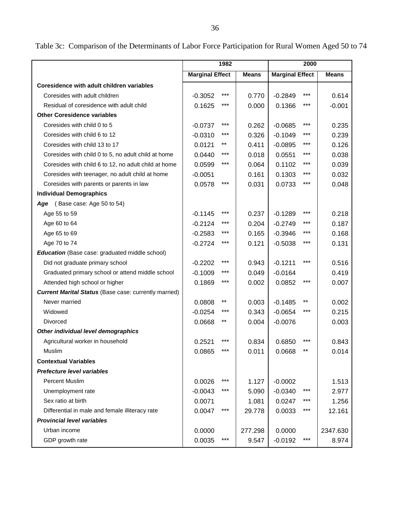Table 3c: Comparison of the Determinants of Labor Force Participation for Rural Women Aged 50 to 74

|                                                              | 1982                   |                 |              | 2000                   |       |              |
|--------------------------------------------------------------|------------------------|-----------------|--------------|------------------------|-------|--------------|
|                                                              | <b>Marginal Effect</b> |                 | <b>Means</b> | <b>Marginal Effect</b> |       | <b>Means</b> |
| Coresidence with adult children variables                    |                        |                 |              |                        |       |              |
| Coresides with adult children                                | $-0.3052$              | ***             | 0.770        | $-0.2849$              | ***   | 0.614        |
| Residual of coresidence with adult child                     | 0.1625                 | ***             | 0.000        | 0.1366                 | ***   | $-0.001$     |
| <b>Other Coresidence variables</b>                           |                        |                 |              |                        |       |              |
| Coresides with child 0 to 5                                  | $-0.0737$              | ***             | 0.262        | $-0.0685$              | ***   | 0.235        |
| Coresides with child 6 to 12                                 | $-0.0310$              | ***             | 0.326        | $-0.1049$              | ***   | 0.239        |
| Coresides with child 13 to 17                                | 0.0121                 | $***$           | 0.411        | $-0.0895$              | ***   | 0.126        |
| Coresides with child 0 to 5, no adult child at home          | 0.0440                 | ***             | 0.018        | 0.0551                 | ***   | 0.038        |
| Coresides with child 6 to 12, no adult child at home         | 0.0599                 | $***$           | 0.064        | 0.1102                 | $***$ | 0.039        |
| Coresides with teenager, no adult child at home              | $-0.0051$              |                 | 0.161        | 0.1303                 | ***   | 0.032        |
| Coresides with parents or parents in law                     | 0.0578                 | $***$           | 0.031        | 0.0733                 | $***$ | 0.048        |
| <b>Individual Demographics</b>                               |                        |                 |              |                        |       |              |
| (Base case: Age 50 to 54)<br>Age                             |                        |                 |              |                        |       |              |
| Age 55 to 59                                                 | $-0.1145$              | ***             | 0.237        | $-0.1289$              | ***   | 0.218        |
| Age 60 to 64                                                 | $-0.2124$              | ***             | 0.204        | $-0.2749$              | ***   | 0.187        |
| Age 65 to 69                                                 | $-0.2583$              | ***             | 0.165        | $-0.3946$              | ***   | 0.168        |
| Age 70 to 74                                                 | $-0.2724$              | $***$           | 0.121        | $-0.5038$              | $***$ | 0.131        |
| <b>Education</b> (Base case: graduated middle school)        |                        |                 |              |                        |       |              |
| Did not graduate primary school                              | $-0.2202$              | $***$           | 0.943        | $-0.1211$              | ***   | 0.516        |
| Graduated primary school or attend middle school             | $-0.1009$              | ***             | 0.049        | $-0.0164$              |       | 0.419        |
| Attended high school or higher                               | 0.1869                 | $***$           | 0.002        | 0.0852                 | $***$ | 0.007        |
| <b>Current Marital Status</b> (Base case: currently married) |                        |                 |              |                        |       |              |
| Never married                                                | 0.0808                 | $^{\star\star}$ | 0.003        | $-0.1485$              | $***$ | 0.002        |
| Widowed                                                      | $-0.0254$              | ***             | 0.343        | $-0.0654$              | ***   | 0.215        |
| Divorced                                                     | 0.0668                 | $***$           | 0.004        | $-0.0076$              |       | 0.003        |
| Other individual level demographics                          |                        |                 |              |                        |       |              |
| Agricultural worker in household                             | 0.2521                 | ***             | 0.834        | 0.6850                 | ***   | 0.843        |
| Muslim                                                       | 0.0865                 | ***             | 0.011        | 0.0668                 | **    | 0.014        |
| <b>Contextual Variables</b>                                  |                        |                 |              |                        |       |              |
| <b>Prefecture level variables</b>                            |                        |                 |              |                        |       |              |
| <b>Percent Muslim</b>                                        | 0.0026                 | ***             | 1.127        | $-0.0002$              |       | 1.513        |
| Unemployment rate                                            | $-0.0043$              | ***             | 5.090        | $-0.0340$              | ***   | 2.977        |
| Sex ratio at birth                                           | 0.0071                 |                 | 1.081        | 0.0247                 | ***   | 1.256        |
| Differential in male and female illiteracy rate              | 0.0047                 | $***$           | 29.778       | 0.0033                 | ***   | 12.161       |
| <b>Provincial level variables</b>                            |                        |                 |              |                        |       |              |
| Urban income                                                 | 0.0000                 |                 | 277.298      | 0.0000                 |       | 2347.630     |
| GDP growth rate                                              | 0.0035                 | $***$           | 9.547        | $-0.0192$              | $***$ | 8.974        |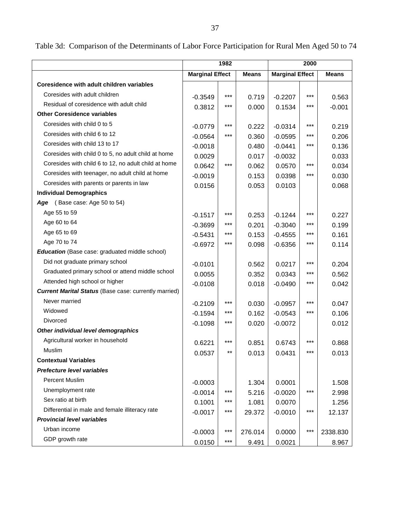Table 3d: Comparison of the Determinants of Labor Force Participation for Rural Men Aged 50 to 74

|                                                              | 1982                   |       |              |                        |       |              |
|--------------------------------------------------------------|------------------------|-------|--------------|------------------------|-------|--------------|
|                                                              | <b>Marginal Effect</b> |       | <b>Means</b> | <b>Marginal Effect</b> |       | <b>Means</b> |
| Coresidence with adult children variables                    |                        |       |              |                        |       |              |
| Coresides with adult children                                | $-0.3549$              | $***$ | 0.719        | $-0.2207$              | $***$ | 0.563        |
| Residual of coresidence with adult child                     | 0.3812                 | ***   | 0.000        | 0.1534                 | ***   | $-0.001$     |
| <b>Other Coresidence variables</b>                           |                        |       |              |                        |       |              |
| Coresides with child 0 to 5                                  | $-0.0779$              | ***   | 0.222        | $-0.0314$              | ***   | 0.219        |
| Coresides with child 6 to 12                                 | $-0.0564$              | ***   | 0.360        | $-0.0595$              | ***   | 0.206        |
| Coresides with child 13 to 17                                | $-0.0018$              |       | 0.480        | $-0.0441$              | ***   | 0.136        |
| Coresides with child 0 to 5, no adult child at home          | 0.0029                 |       | 0.017        | $-0.0032$              |       | 0.033        |
| Coresides with child 6 to 12, no adult child at home         | 0.0642                 | ***   | 0.062        | 0.0570                 | ***   | 0.034        |
| Coresides with teenager, no adult child at home              | $-0.0019$              |       | 0.153        | 0.0398                 | ***   | 0.030        |
| Coresides with parents or parents in law                     | 0.0156                 |       | 0.053        | 0.0103                 |       | 0.068        |
| <b>Individual Demographics</b>                               |                        |       |              |                        |       |              |
| (Base case: Age 50 to 54)<br>Age                             |                        |       |              |                        |       |              |
| Age 55 to 59                                                 | $-0.1517$              | ***   | 0.253        | $-0.1244$              | ***   | 0.227        |
| Age 60 to 64                                                 | $-0.3699$              | ***   | 0.201        | $-0.3040$              | ***   | 0.199        |
| Age 65 to 69                                                 | $-0.5431$              | ***   | 0.153        | $-0.4555$              | $***$ | 0.161        |
| Age 70 to 74                                                 | $-0.6972$              | ***   | 0.098        | $-0.6356$              | ***   | 0.114        |
| <b>Education</b> (Base case: graduated middle school)        |                        |       |              |                        |       |              |
| Did not graduate primary school                              | $-0.0101$              |       | 0.562        | 0.0217                 | ***   | 0.204        |
| Graduated primary school or attend middle school             | 0.0055                 |       | 0.352        | 0.0343                 | $***$ | 0.562        |
| Attended high school or higher                               | $-0.0108$              |       | 0.018        | $-0.0490$              | ***   | 0.042        |
| <b>Current Marital Status (Base case: currently married)</b> |                        |       |              |                        |       |              |
| Never married                                                | $-0.2109$              | ***   | 0.030        | $-0.0957$              | ***   | 0.047        |
| Widowed                                                      | $-0.1594$              | ***   | 0.162        | $-0.0543$              | $***$ | 0.106        |
| Divorced                                                     | $-0.1098$              | ***   | 0.020        | $-0.0072$              |       | 0.012        |
| Other individual level demographics                          |                        |       |              |                        |       |              |
| Agricultural worker in household                             | 0.6221                 | ***   | 0.851        | 0.6743                 | ***   | 0.868        |
| Muslim                                                       | 0.0537                 |       | 0.013        | 0.0431                 | ***   | 0.013        |
| <b>Contextual Variables</b>                                  |                        |       |              |                        |       |              |
| <b>Prefecture level variables</b>                            |                        |       |              |                        |       |              |
| Percent Muslim                                               | $-0.0003$              |       | 1.304        | 0.0001                 |       | 1.508        |
| Unemployment rate                                            | $-0.0014$              | ***   | 5.216        | $-0.0020$              | ***   | 2.998        |
| Sex ratio at birth                                           | 0.1001                 | ***   | 1.081        | 0.0070                 |       | 1.256        |
| Differential in male and female illiteracy rate              | $-0.0017$              | $***$ | 29.372       | $-0.0010$              | $***$ | 12.137       |
| <b>Provincial level variables</b>                            |                        |       |              |                        |       |              |
| Urban income                                                 | $-0.0003$              | $***$ | 276.014      | 0.0000                 | $***$ | 2338.830     |
| GDP growth rate                                              | 0.0150                 | $***$ | 9.491        | 0.0021                 |       | 8.967        |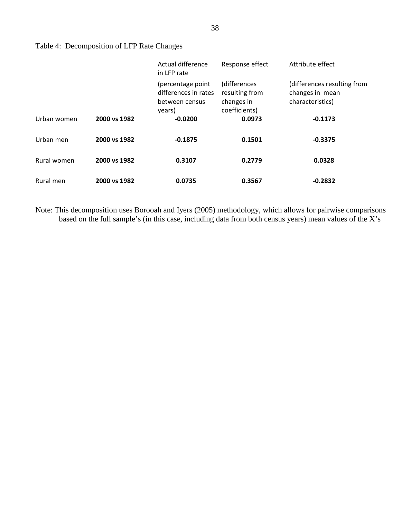| Table 4: Decomposition of LFP Rate Changes |  |
|--------------------------------------------|--|
|                                            |  |

|             |              | Actual difference<br>in LFP rate                                      | Response effect                                               | Attribute effect                                                   |
|-------------|--------------|-----------------------------------------------------------------------|---------------------------------------------------------------|--------------------------------------------------------------------|
|             |              | (percentage point<br>differences in rates<br>between census<br>years) | (differences<br>resulting from<br>changes in<br>coefficients) | (differences resulting from<br>changes in mean<br>characteristics) |
| Urban women | 2000 vs 1982 | $-0.0200$                                                             | 0.0973                                                        | $-0.1173$                                                          |
| Urban men   | 2000 vs 1982 | $-0.1875$                                                             | 0.1501                                                        | $-0.3375$                                                          |
| Rural women | 2000 vs 1982 | 0.3107                                                                | 0.2779                                                        | 0.0328                                                             |
| Rural men   | 2000 vs 1982 | 0.0735                                                                | 0.3567                                                        | $-0.2832$                                                          |

Note: This decomposition uses Borooah and Iyers (2005) methodology, which allows for pairwise comparisons based on the full sample's (in this case, including data from both census years) mean values of the X's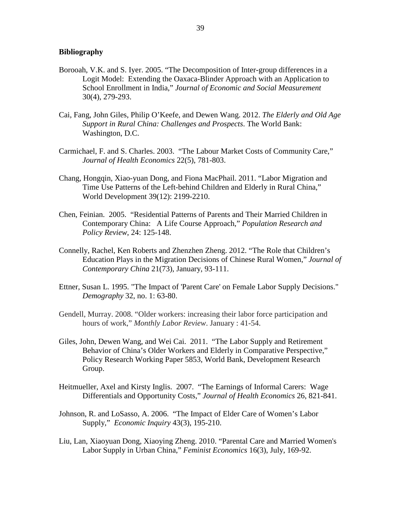#### **Bibliography**

- Borooah, V.K. and S. Iyer. 2005. "The Decomposition of Inter-group differences in a Logit Model: Extending the Oaxaca-Blinder Approach with an Application to School Enrollment in India," *Journal of Economic and Social Measurement* 30(4), 279-293.
- Cai, Fang, John Giles, Philip O'Keefe, and Dewen Wang. 2012. *The Elderly and Old Age Support in Rural China: Challenges and Prospects*. The World Bank: Washington, D.C.
- Carmichael, F. and S. Charles. 2003. "The Labour Market Costs of Community Care," *Journal of Health Economics* 22(5), 781-803.
- Chang, Hongqin, Xiao-yuan Dong, and Fiona MacPhail. 2011. "Labor Migration and Time Use Patterns of the Left-behind Children and Elderly in Rural China," World Development 39(12): 2199-2210.
- Chen, Feinian. 2005. "Residential Patterns of Parents and Their Married Children in Contemporary China: A Life Course Approach," *Population Research and Policy Review*, 24: 125-148.
- Connelly, Rachel, Ken Roberts and Zhenzhen Zheng. 2012. "The Role that Children's Education Plays in the Migration Decisions of Chinese Rural Women," *Journal of Contemporary China* 21(73), January, 93-111.
- Ettner, Susan L. 1995. "The Impact of 'Parent Care' on Female Labor Supply Decisions." *Demography* 32, no. 1: 63-80.
- Gendell, Murray. 2008. "Older workers: increasing their labor force participation and hours of work," *Monthly Labor Review*. January : 41-54.
- Giles, John, Dewen Wang, and Wei Cai. 2011. "The Labor Supply and Retirement Behavior of China's Older Workers and Elderly in Comparative Perspective," Policy Research Working Paper 5853, World Bank, Development Research Group.
- Heitmueller, Axel and Kirsty Inglis. 2007. "The Earnings of Informal Carers: Wage Differentials and Opportunity Costs," *Journal of Health Economics* 26, 821-841.
- Johnson, R. and LoSasso, A. 2006. "The Impact of Elder Care of Women's Labor Supply," *Economic Inquiry* 43(3), 195-210.
- Liu, Lan, Xiaoyuan Dong, Xiaoying Zheng. 2010. "Parental Care and Married Women's Labor Supply in Urban China," *Feminist Economics* 16(3), July, 169-92.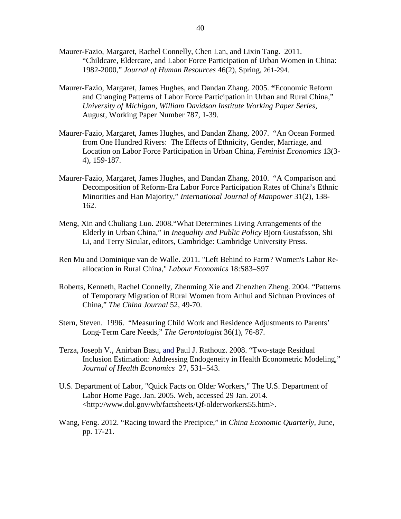- Maurer-Fazio, Margaret, Rachel Connelly, Chen Lan, and Lixin Tang. 2011. "Childcare, Eldercare, and Labor Force Participation of Urban Women in China: 1982-2000," *Journal of Human Resources* 46(2), Spring, 261-294.
- Maurer-Fazio, Margaret, James Hughes, and Dandan Zhang. 2005. **"**Economic Reform and Changing Patterns of Labor Force Participation in Urban and Rural China," *University of Michigan, William Davidson Institute Working Paper Series*, August, Working Paper Number 787, 1-39.
- Maurer-Fazio, Margaret, James Hughes, and Dandan Zhang. 2007. "An Ocean Formed from One Hundred Rivers: The Effects of Ethnicity, Gender, Marriage, and Location on Labor Force Participation in Urban China, *Feminist Economics* 13(3- 4), 159-187.
- Maurer-Fazio, Margaret, James Hughes, and Dandan Zhang. 2010. "A Comparison and Decomposition of Reform-Era Labor Force Participation Rates of China's Ethnic Minorities and Han Majority," *International Journal of Manpower* 31(2), 138- 162.
- Meng, Xin and Chuliang Luo. 2008."What Determines Living Arrangements of the Elderly in Urban China," in *Inequality and Public Policy* Bjorn Gustafsson, Shi Li, and Terry Sicular, editors, Cambridge: Cambridge University Press.
- Ren Mu and Dominique van de Walle. 2011. "Left Behind to Farm? Women's Labor Reallocation in Rural China," *Labour Economics* 18:S83–S97
- Roberts, Kenneth, Rachel Connelly, Zhenming Xie and Zhenzhen Zheng. 2004. "Patterns of Temporary Migration of Rural Women from Anhui and Sichuan Provinces of China," *The China Journal* 52, 49-70.
- Stern, Steven. 1996. "Measuring Child Work and Residence Adjustments to Parents' Long-Term Care Needs," *The Gerontologist* 36(1), 76-87.
- Terza, Joseph V., Anirban Basu, and Paul J. Rathouz. 2008. "Two-stage Residual Inclusion Estimation: Addressing Endogeneity in Health Econometric Modeling," *Journal of Health Economics* 27, 531–543.
- U.S. Department of Labor, "Quick Facts on Older Workers," The U.S. Department of Labor Home Page. Jan. 2005. Web, accessed 29 Jan. 2014. <http://www.dol.gov/wb/factsheets/Qf-olderworkers55.htm>.
- Wang, Feng. 2012. "Racing toward the Precipice," in *China Economic Quarterly*, June, pp. 17-21.